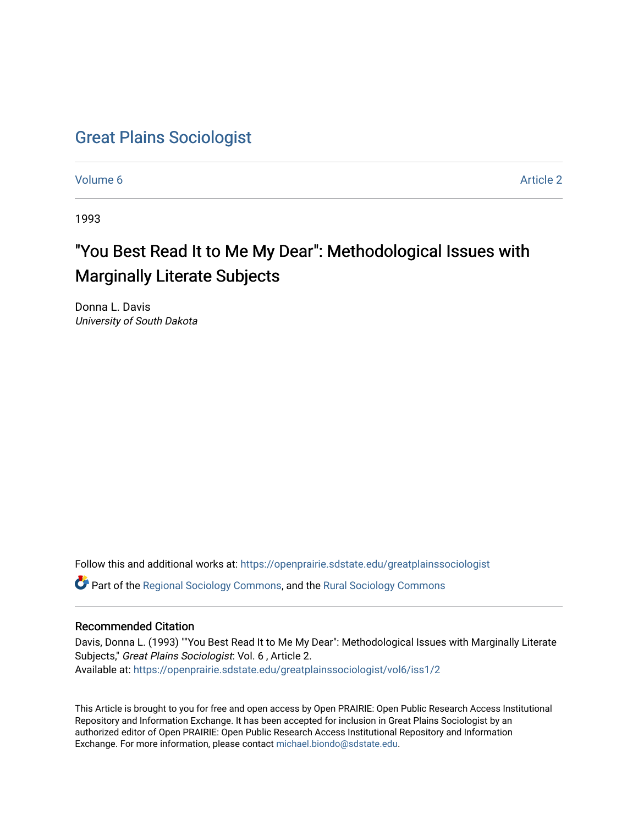# [Great Plains Sociologist](https://openprairie.sdstate.edu/greatplainssociologist)

[Volume 6](https://openprairie.sdstate.edu/greatplainssociologist/vol6) [Article 2](https://openprairie.sdstate.edu/greatplainssociologist/vol6/iss1/2) 

1993

# "You Best Read It to Me My Dear": Methodological Issues with Marginally Literate Subjects

Donna L. Davis University of South Dakota

Follow this and additional works at: [https://openprairie.sdstate.edu/greatplainssociologist](https://openprairie.sdstate.edu/greatplainssociologist?utm_source=openprairie.sdstate.edu%2Fgreatplainssociologist%2Fvol6%2Fiss1%2F2&utm_medium=PDF&utm_campaign=PDFCoverPages) 

Part of the [Regional Sociology Commons](http://network.bepress.com/hgg/discipline/427?utm_source=openprairie.sdstate.edu%2Fgreatplainssociologist%2Fvol6%2Fiss1%2F2&utm_medium=PDF&utm_campaign=PDFCoverPages), and the [Rural Sociology Commons](http://network.bepress.com/hgg/discipline/428?utm_source=openprairie.sdstate.edu%2Fgreatplainssociologist%2Fvol6%2Fiss1%2F2&utm_medium=PDF&utm_campaign=PDFCoverPages) 

## Recommended Citation

Davis, Donna L. (1993) ""You Best Read It to Me My Dear": Methodological Issues with Marginally Literate Subjects," Great Plains Sociologist: Vol. 6 , Article 2. Available at: [https://openprairie.sdstate.edu/greatplainssociologist/vol6/iss1/2](https://openprairie.sdstate.edu/greatplainssociologist/vol6/iss1/2?utm_source=openprairie.sdstate.edu%2Fgreatplainssociologist%2Fvol6%2Fiss1%2F2&utm_medium=PDF&utm_campaign=PDFCoverPages) 

This Article is brought to you for free and open access by Open PRAIRIE: Open Public Research Access Institutional Repository and Information Exchange. It has been accepted for inclusion in Great Plains Sociologist by an authorized editor of Open PRAIRIE: Open Public Research Access Institutional Repository and Information Exchange. For more information, please contact [michael.biondo@sdstate.edu.](mailto:michael.biondo@sdstate.edu)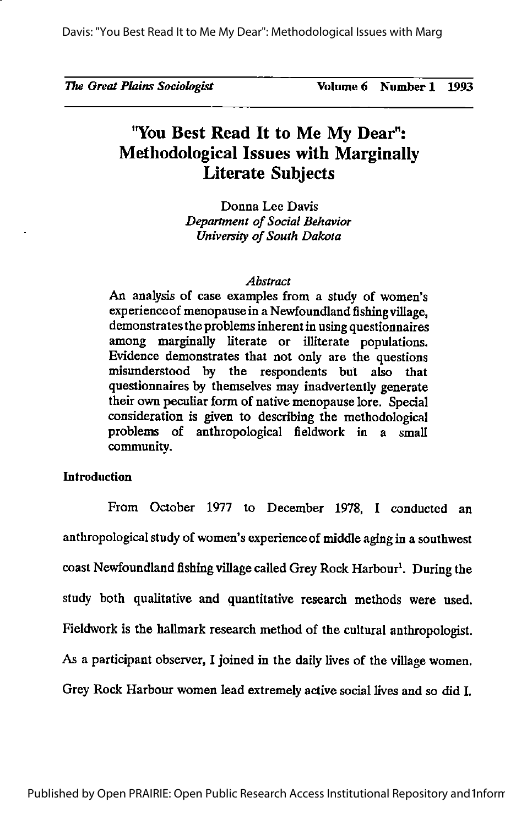## 'You Best Read It to Me My Dear": Methodological Issues with Marginally Literate Subjects

Donna Lee Davis Department of Social Behavior University of South Dakota

#### Abstract

An analysis of case examples from a study of women's experience of menopause in a Newfoundland fishing village, demonstrates the problems inherent in using questionnaires among marginally literate or illiterate populations. Evidence demonstrates that not only are the questions misunderstood by the respondents but also that questionnaires by themselves may inadvertently generate their own peculiar form of native menopause lore. Special consideration is given to describing the methodological problems of anthropological fieldwork in a small community.

## Introduction

From October 1977 to December 1978, I conducted an anthropological study of women's experience of middle aging in a southwest coast Newfoundland fishing village called Grey Rock Harbour<sup>1</sup>. During the study both qualitative and quantitative research methods were used. Fieldwork is the hallmark research method of the cultural anthropologist. As a participant observer, I joined in the daily lives of the village women. Grey Rock Harbour women lead extremely active social lives and so did I.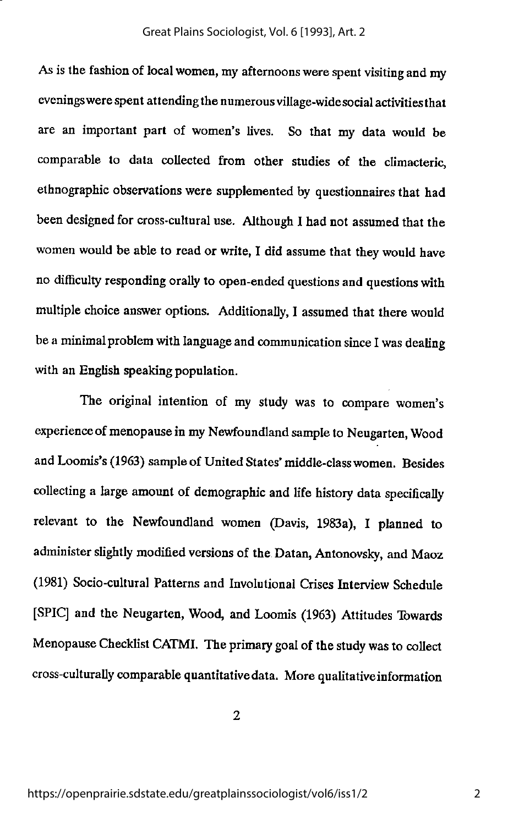As is the fashion of local women, my afternoons were spent visiting and my eveningswerespent attending the numerousvillage-widesocial activitiesthat are an important part of women's lives. So that my data would be comparable to data collected from other studies of the climacteric, ethnographic observations were supplemented by questionnaires that had been designed for cross-cultural use. Although I had not assumed that the women would be able to read or write, I did assume that they would have no difficulty responding orally to open-ended questions and questions with multiple choice answer options. Additionally, I assumed that there would be a minimal problem with language and communication since I was dealing with an English speaking population.

The original intention of my study was to compare women's experience of menopause in my Newfoundland sample to Neugarten, Wood and Loomis's (1963) sample of United States' middle-class women. Besides collecting a large amount of demographic and life history data specifically relevant to the Newfoundland women (Davis, 1983a), I planned to administer slightly modified versions of the Datan, Antonovsky, and Maoz (1981) Socio-cultural Patterns and Involutional Crises Interview Schedule [SPIC] and the Neugarten, Wood, and Loomis (1963) Attitudes Towards Menopause Checklist CATMI. The primary goal of the study was to collect cross-culturally comparable quantitativedata. Morequalitativeinformation

 $\overline{2}$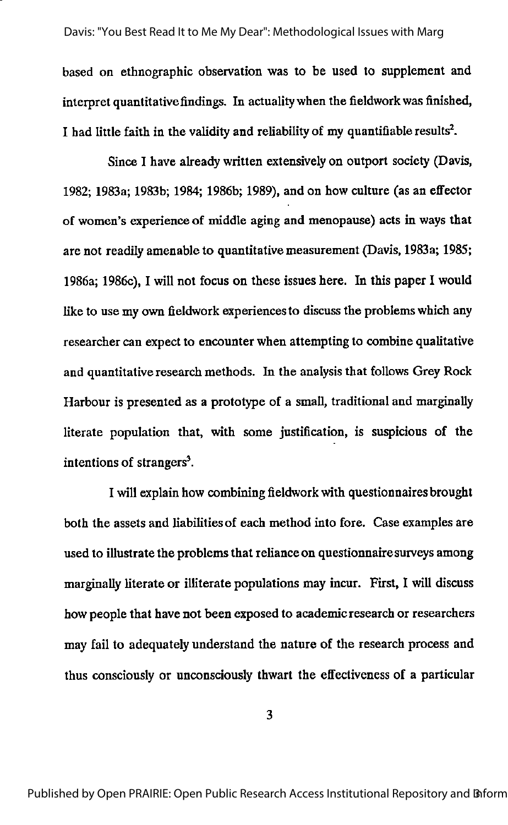based on ethnographic observation was to be used to supplement and interpret quantitative findings. In actualitywhen the fieldworkwas finished, I had little faith in the validity and reliability of my quantifiable results<sup>2</sup>.

Since I have already written extensively on outport society (Davis, 1982; 1983a; 1983b; 1984; 1986b; 1989), and on how culture (as an effector of women's experience of middle aging and menopause) acts in ways that are not readily amenable to quantitative measurement (Davis, 1983a; 1985; 1986a; 1986c), I will not focus on these issues here. In this paper I would like to use my own fieldwork experiences to discuss the problems which any researcher can expect to encounter when attempting to combine qualitative and quantitative research methods. In the analysisthat follows Grey Rock Harbour is presented as a prototype of a small, traditional and marginally literate population that, with some justification, is suspicious of the intentions of strangers'.

I will explain how combining fieldworkwith questionnaires brought both the assets and liabilities of each method into fore. Case examples are used to illustrate the problems that reliance on questionnaire surveys among marginally literate or illiterate populations may incur. First, I will discuss how people that have not been exposed to academic research or researchers may fail to adequately understand the nature of the research process and thus consciously or unconsciously thwart the effectiveness of a particular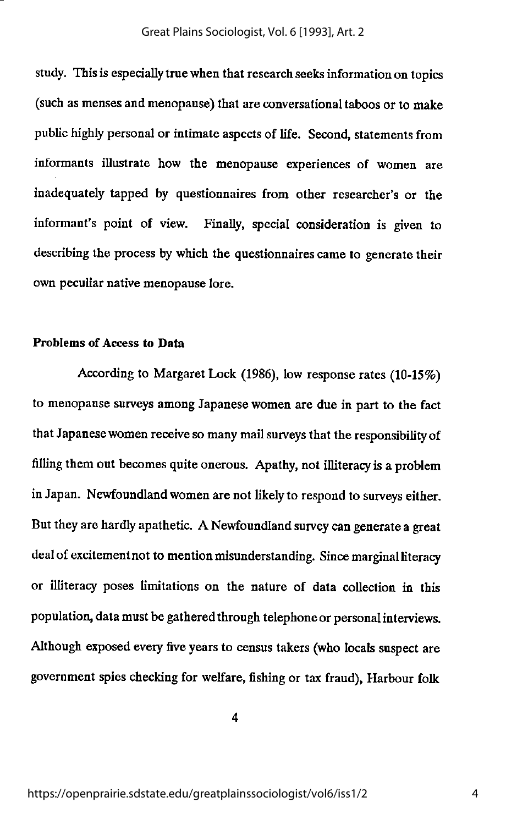study. This is especially true when that research seeks information on topics (such as menses and menopause) that are conversational taboos or to make public highly personal or intimate aspects of life. Second, statements from informants illustrate how the menopause experiences of women are inadequately tapped by questionnaires from other researcher's or the informant's point of view. Finally, special consideration is given to describing the process by which the questionnaires came to generate their own peculiar native menopause lore.

## Problems of Access to Data

According to Margaret Lock (1986), low response rates(10-15%) to menopause surveys among Japanese women are due in part to the fact that Japanese women receive so many mail surveys that the responsibility of filling them out becomes quite onerous. Apathy, not illiteracy is a problem inJapan. Newfoundland women are not likely to respond to surveys either. But they are hardly apathetic. A Newfoundland survey can generate a great deal of excitement not to mention misunderstanding. Since marginal literacy or illiterate poses limitations on the nature of data collection in this population, data must be gathered through telephone or personal interviews. Although exposed every five years to census takers (who locals suspect are government spies checking for welfare, fishing or tax fraud), Harbour folk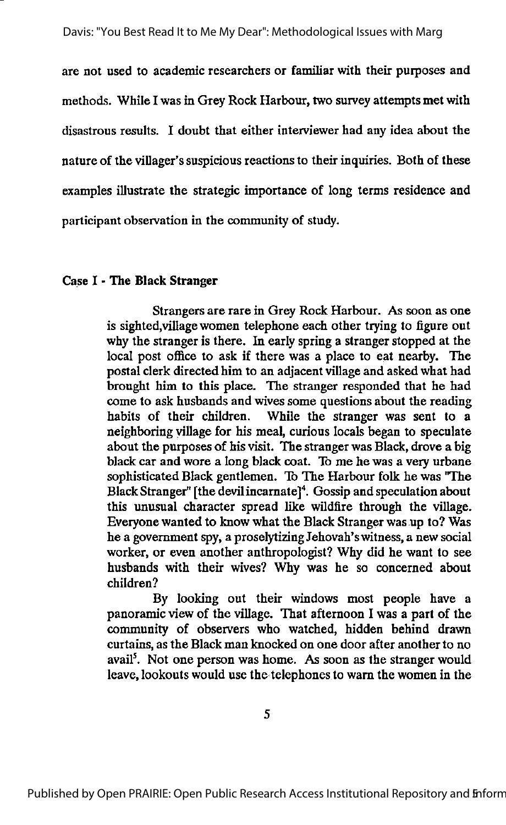are not used to academic researchers or familiar with their purposes and methods. While I was in Grey Rock Harbour, two survey attempts met with disastrous results. I doubt that either interviewer had any idea about the nature of the villager'ssuspicious reactions to their inquiries. Both of these examples illustrate the strategic importance of long terms residence and participant observation in the community of study.

## Case I - The Black Stranger

Strangers are rare in Grey Rock Harbour. As soon as one is sighted,village women telephone each other trying to figure out why the stranger is there. In early spring a stranger stopped at the local post office to ask if there was a place to eat nearby. The postal clerk directed him to an adjacent village and asked what had brought him to this place. The stranger responded that he had come to ask husbands and wives some questions about the reading habits of their children. While the stranger was sent to a neighboring village for his meal, curious locals began to speculate about the purposes of his visit. The stranger was Black, drove a big black car and wore a long black coat. To me he was a very urbane sophisticated Black gentlemen. 16 The Harbour folk he was "The Black Stranger" [the devil incarnate]<sup>4</sup>. Gossip and speculation about this unusual character spread like wildfire through the village. Everyone wanted to know what the Black Stranger was up to? Was he a government spy, a proselytizing Jehovah'switness, a new social worker, or even another anthropologist? Why did he want to see husbands with their wives? Why was he so concerned about children?

By looking out their windows most people have a panoramic view of the village. That afternoon I was a part of the community of observers who watched, hidden behind drawn curtains, as the Black man knocked on one door after another to no avail<sup>5</sup>. Not one person was home. As soon as the stranger would leave, lookouts would use the telephones to warn the women in the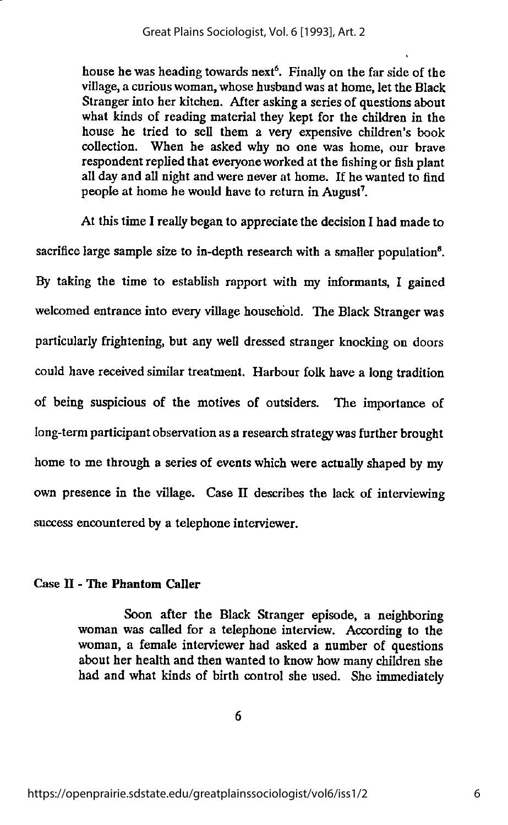house he was heading towards next<sup>6</sup>. Finally on the far side of the village, a curious woman, whose husband was at home, let the Black Stranger into her kitchen. After askinga series of questions about what kinds of reading material they kept for the children in the house he tried to sell them a very expensive children's book collection. When he asked why no one was home, our brave respondent replied that everyoneworked at the fishingor fish plant all day and all night and were never at home. If he wanted to find people at home he would have to return in August'.

At this time I really began to appreciate the decision I had made to sacrifice large sample size to in-depth research with a smaller population<sup>8</sup>. By taking the time to establish rapport with my informants, I gained welcomed entrance into every village household. The Black Stranger was particularly frightening, but any well dressed stranger knocking on doors could have received similar treatment. Harbour folk have a long tradition of being suspicious of the motives of outsiders. The importance of long-term participant observation as a research strategy was further brought home to me through a series of events which were actually shaped by my own presence in the village. Case II describes the lack of interviewing success encountered by a telephone interviewer.

## Case II - The Phantom Caller

Soon after the Black Stranger episode, a neighboring woman was called for a telephone interview. According to the woman, a female interviewer had asked a number of questions about her health and then wanted to know how many children she had and what kinds of birth control she used. She immediately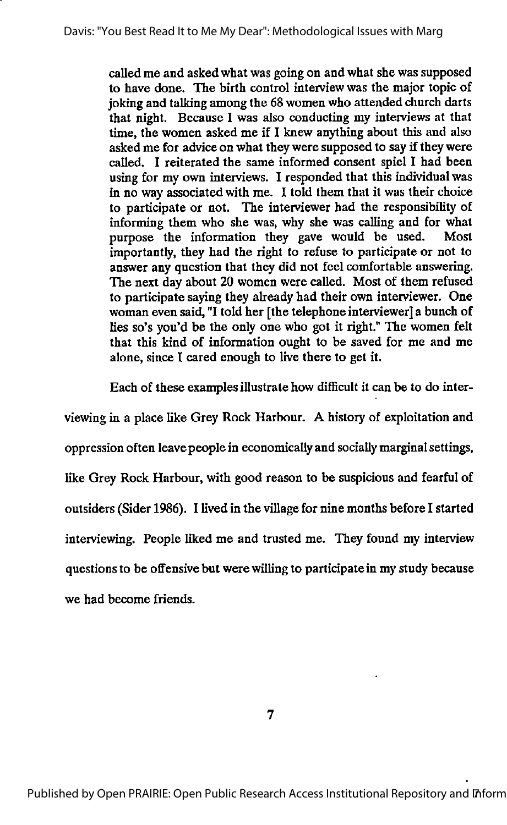called me and asked what was going on and what she was supposed to have done. The birth control interview was the major topic of joking and talking among the 68 women who attended church darts that night. Because I was also conducting my interviews at that time, the women asked me if I knew anything about this and also asked me for advice on what they were supposed to say if they were called. I reiterated the same informed consent spiel I had been using for my own interviews. I responded that this individual was in no way associated with me. I told them that it was their choice to participate or not. The interviewer had the responsibility of informing them who she was, why she was calling and for what purpose the information they gave would be used. Most importantly, they had the right to refuse to participate or not to answer any question that they did not feel comfortable answering. The next day about 20 women were called. Most of them refused to participate saying they already had their own interviewer. One woman even said, "I told her [the telephone interviewer]a bunch of lies so's you'd be the only one who got it right." The women felt that this kind of information ought to be saved for me and me alone, since I cared enough to live there to get it.

Each of these examples illustrate how difficult it can be to do inter

viewing in a place like Grey Rock Harbour. A history of exploitation and oppression often leave people in economically and sociallymarginalsettings, like Grey Rock Harbour, with good reason to be suspicious and fearful of outsiders (Sider 1986). I lived in the villagefor nine months before I started interviewing. People liked me and trusted me. They found my interview questions to be offensive but werewilling to participate in my study because we had become friends.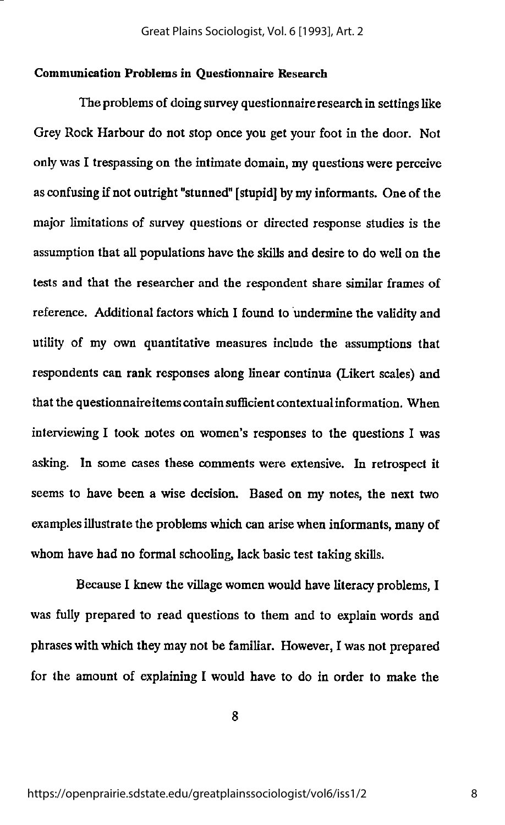## Communication Problems in Questionnaire Research

The problems of doing survey questionnaireresearch in settings like Grey Rock Harbour do not stop once you get your foot in the door. Not only was I trespassing on the intimate domain, my questions were perceive as confusing if not outright "stunned" [stupid] by my informants. One of the major limitations of survey questions or directed response studies is the assumption that all populations have the skills and desire to do well on the tests and that the researcher and the respondent share similar frames of reference. Additional factors which I found to undermine the validityand utility of my own quantitative measures include the assumptions that respondents can rank responses along linear continua (Likert scales) and that the questionnaireitems contain sufficient contextual information. When interviewing I took notes on women's responses to the questions I was asking. In some cases these comments were extensive. In retrospect it seems to have been a wise decision. Based on my notes, the next two examples illustrate the problems which can arise when informants, many of whom have had no formal schooling, lack basic test taking skills.

Because I knew the village women would have literacy problems, I was fully prepared to read questions to them and to explain words and phrases with which they may not be familiar. However, I was not prepared for the amount of explaining I would have to do in order to make the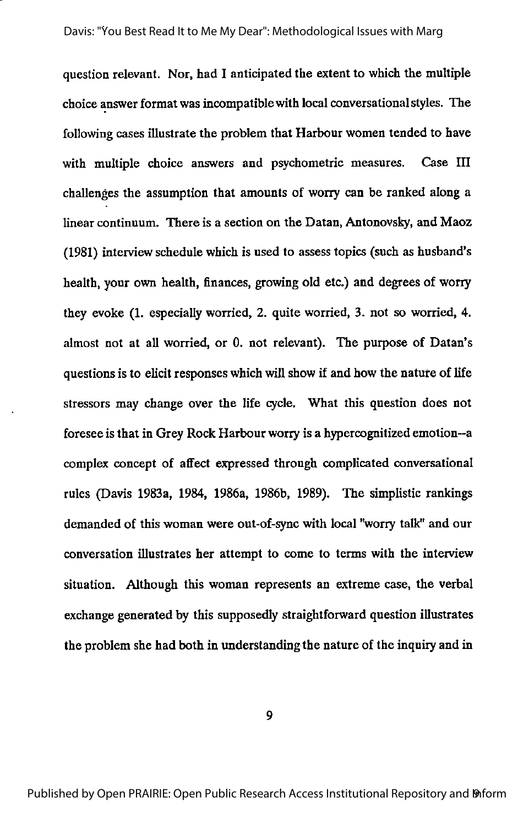question relevant. Nor, had I anticipated the extent to which the multiple choice answer format was incompatiblewith local conversationalstyles. The following cases illustrate the problem that Harbour women tended to have with multiple choice answers and psychometric measures. Case III challenges the assumption that amounts of worry can be ranked along a linear continuum. There is a section on the Datan, Antonovsky, and Maoz (1981) interviewschedule which is used to assesstopics (such as husband's health, your own health, finances, growing old etc.) and degrees of worry they evoke (1. especially worried, 2. quite worried, 3. not so worried, 4. almost not at all worried, or 0. not relevant). The purpose of Datan's questions is to elicit responses which will show if and how the nature of life stressors may change over the life cycle. What this question does not foresee is that in Grey Rock Harbour worry is a hypercognitized emotion—a complex concept of affect expressed through complicated conversational rules (Davis 1983a, 1984, 1986a, 1986b, 1989). The simplistic rankings demanded of this woman were out-of-sync with local "worry talk" and our conversation illustrates her attempt to come to terms with the interview situation. Although this woman represents an extreme case, the verbal exchange generated by this supposedly straightforward question illustrates the problem she had both in understanding the nature of the inquiry and in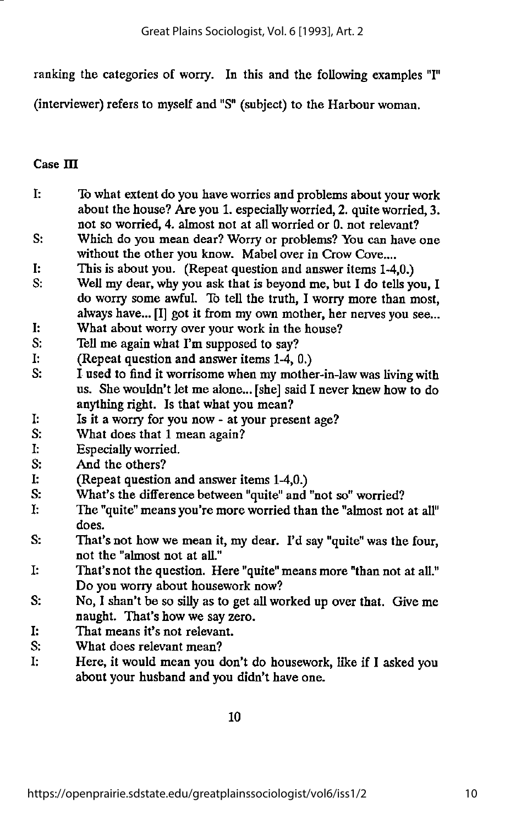ranking the categories of worry. In this and the following examples "I"

(interviewer) refers to myself and "S" (subject) to the Harbour woman.

## $Case III$

- I: Towhat extent do you have worries and problems about your work about the house? Are you 1. especiallyworried, 2. quite worried, 3. not so worried, 4. almost not at all worried or 0. not relevant?
- S: Which do you mean dear? Worry or problems? You can have one without the other you know. Mabel over in Crow Cove....
- I: This is about you. (Repeat question and answer items 1-4,0.)
- S: Well my dear, why you ask that is beyond me, but I do tells you, I do worry some awful. To tell the truth, I worry more than most, always have... [I] got it from my own mother, her nerves you see...
- I: What about worry over your work in the house?
- S: Tell me again what I'm supposed to say?
- I: (Repeat question and answer items 1-4, 0.)
- S: I used to find it worrisome when my mother-in-law was living with us. She wouldn't let me alone...[she] said I never knew how to do anything right. Is that what you mean?
- I: Is it a worry for you now at your present age?
- S: What does that 1 mean again?
- I: Especially worried.
- S: And the others?
- I: (Repeat question and answer items 1-4,0.)
- S: What's the difference between "quite" and "not so" worried?
- I: The "quite" means you're more worried than the "almost not at all" does.
- S: That's not how we mean it, my dear. I'd say "quite" was the four, not the "almost not at all."
- I: That's not the question. Here "quite" means more "than not at all." Do you worry about housework now?
- S: No, I shan't be so silly as to get all worked up over that. Give me naught. That's how we say zero.
- I: That means it's not relevant.
- S: What does relevant mean?<br>I: Here, it would mean you de
- Here, it would mean you don't do housework, like if I asked you about your husband and you didn't have one.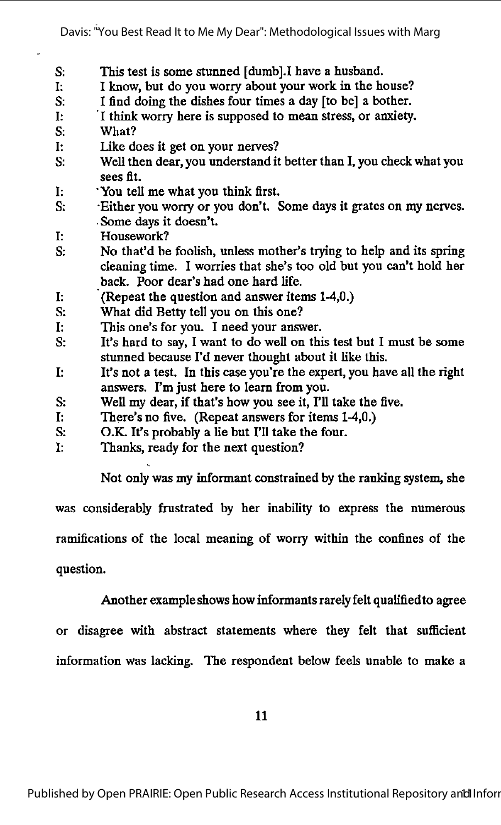- S: This test is some stunned [dumb].I have a husband.
- I: I know, but do you worry about your work in the house?
- S: I find doing the dishes four times a day [to be] a bother.
- I: I think worry here is supposed to mean stress, or anxiety.
- S: What?
- I: Like does it get on your nerves?
- S: Well then dear, you understand it better than I, you check what you sees fit.
- I: 'You tell me what you think first.
- S: Either you worry or you don't. Some days it grates on my nerves. •Some days it doesn't.
- I: Housework?
- S: No that'd be foolish, unless mother's trying to help and its spring cleaning time. I worries that she's too old but you can't hold her back. Poor dear's had one hard life.
- I: (Repeat the question and answer items 1-4,0.)
- S: What did Betty tell you on this one?
- I: This one's for you. I need your answer.
- S: It's hard to say, I want to do well on this test but I must be some stunned because Fd never thought about it like this.
- I: It's not a test. In this case you're the expert, you have all the right answers. I'm just here to learn from you.
- S: Well my dear, if that's how you see it, I'll take the five.
- I: There's no five. (Repeat answers for items 1-4,0.)
- S: O.K. It's probably a lie but I'll take the four.
- I: Thanks, ready for the next question?

Not only was my informant constrained by the ranking system, she

was considerably frustrated by her inability to express the numerous

ramifications of the local meaning of worry within the confines of the

question.

Another exampleshows how informantsrarely felt qualifiedto agree

or disagree with abstract statements where they felt that sufficient information was lacking. The respondent below feels unable to make a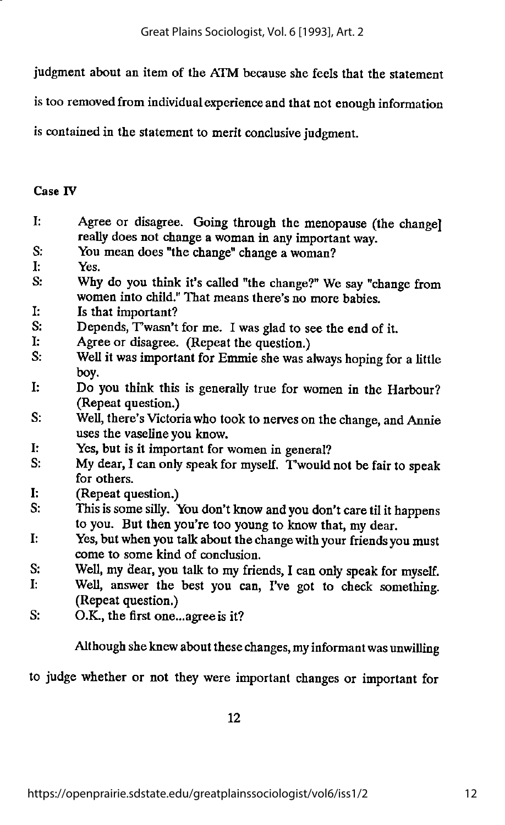judgment about an item of the ATM because she feels that the statement

is too removed from individual experience and that not enough information

is contained in the statement to merit conclusive judgment.

## Case IV

- I: Agree or disagree. Going through the menopause (the change] really does not change a woman in any important way.
- S: You mean does "the change" change a woman?
- I: Yes.
- S: Why do you think it's called "the change?" We say "change from women into child." That means there's no more babies.
- I: Is that important?<br>S: Depends. Twasn't
- Depends, Twasn't for me. I was glad to see the end of it.
- I: Agree or disagree. (Repeat the question.)
- S: Well it was important for Emmie shewas always hoping for a little boy.
- I: Do you think this is generally true for women in the Harbour? (Repeat question.)
- S: Well, there's Victoria who took to nerves on the change, and Annie uses the vaseline you know.
- I: Yes, but is it important for women in general?<br>S: My dear I can only speak for myself. Twould
- My dear, I can only speak for myself. Twould not be fair to speak for others.
- I: (Repeat question.)
- S: This is some silly. You don't know and you don't care til it happens to you. But then you're too young to know that, my dear.
- I: Yes, but when you talk about the change with your friends you must come to some kind of conclusion.
- S: Well, my dear, you talk to my friends, I can only speak for myself.
- I: Well, answer the best you can, I've got to check something. (Repeat question.)
- S: O.K., the first one...agree is it?

Although she knew about these changes, my informant was unwilling

to judge whether or not they were important changes or important for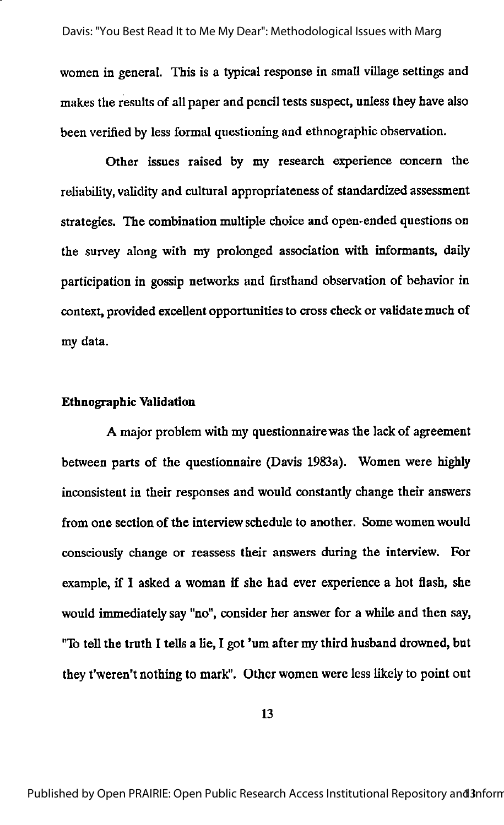women in general. This is a typical response in small village settings and makes the results of all paper and pencil tests suspect, unless they have also been verified by less formal questioning and ethnographic observation.

Other issues raised by my research experience concern the reliability, validity and cultural appropriateness of standardized assessment strategies. The combination multiple choice and open-ended questions on the survey along with my prolonged association with informants, daify participation in gossip networks and firsthand observation of behavior in context, provided excellent opportunities to cross check or validate much of my data.

#### Ethnographic Validation

A major problem with my questionnairewas the lack of agreement between parts of the questionnaire (Davis 1983a). Women were highly inconsistent in their responses and would constantly change their answers from one section of the interview schedule to another. Some women would consciousty change or reassess their answers during the interview. For example, if I asked a woman if she had ever experience a hot flash, she would immediately say "no", consider her answer for a while and then say, "To tell the truth I tells a lie, I got 'um after my third husband drowned, but they t'weren't nothing to mark". Other women were less likely to point out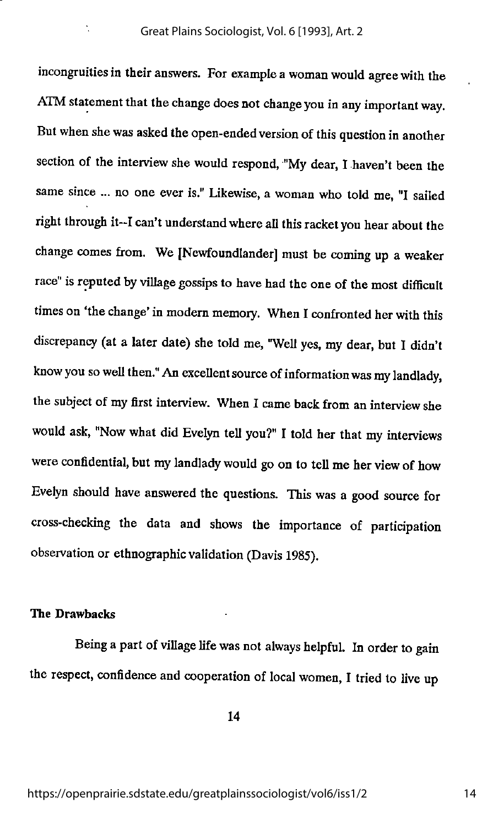incongruitiesin their answers. For example a woman would agree with the ATM statement that the change does not change you in any important way. But when she was asked the open-ended version of this question in another section of the interview she would respond, "My dear, I haven't been the same since ... no one ever is." Likewise, a woman who told me, "I sailed right through it-I can't understand where all this racket you hear about the change comes from. We [Newfoundlander] must be coming up a weaker race" is reputed by village gossips to have had the one of the most difficult times on 'the change' in modern memory. When I confronted her with this discrepancy (at a later date) she told me, "Well yes, my dear, but I didn't know you so well then." An excellent source of information was my landlady, the subject of my first interview. When I came back from an interview she would ask, "Now what did Evelyn tell you?" I told her that my interviews were confidential, but my landlady would go on to tell me her view of how Evelyn should have answered the questions. This was a good source for cross-checking the data and shows the importance of participation observation or ethnographic validation (Davis 1985).

## The Drawbacks

 $\ddot{\phantom{0}}$ 

Being a part of village life was not always helpful. In order to gain the respect, confidence and cooperation of local women, I tried to live up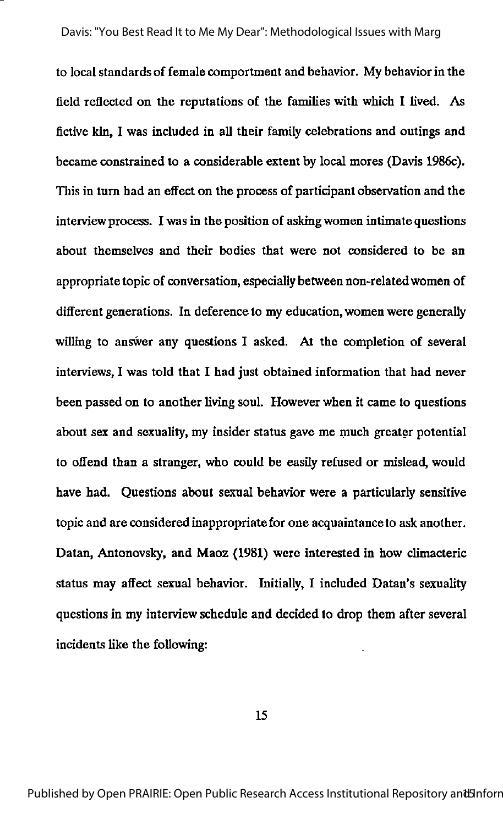to local standards of female comportment and behavior. My behaviorin the field reflected on the reputations of the families with which I lived. As fictive kin, I was included in all their family celebrations and outings and became constrained to a considerable extent by local mores (Davis 1986c). This in turn had an effect on the process of participant observation and the interview process. I was in the position of asking women intimate questions about themselves and their bodies that were not considered to be an appropriate topic of conversation, especially between non-relatedwomen of different generations. In deference to my education, women were generally willing to answer any questions I asked. At the completion of several interviews, I was told that I had just obtained information that had never been passed on to another living soul. However when it came to questions about sex and sexuality, my insider status gave me much greater potential to offend than a stranger, who could be easily refused or mislead, would have had. Questions about sexual behavior were a particularly sensitive topic and are consideredinappropriate for one acquaintance to ask another. Datan, Antonovsky, and Maoz (1981) were interested in how climacteric status may affect sexual behavior. Initially, I included Datan's sexuality questions in my interview schedule and decided to drop them after several incidents like the following: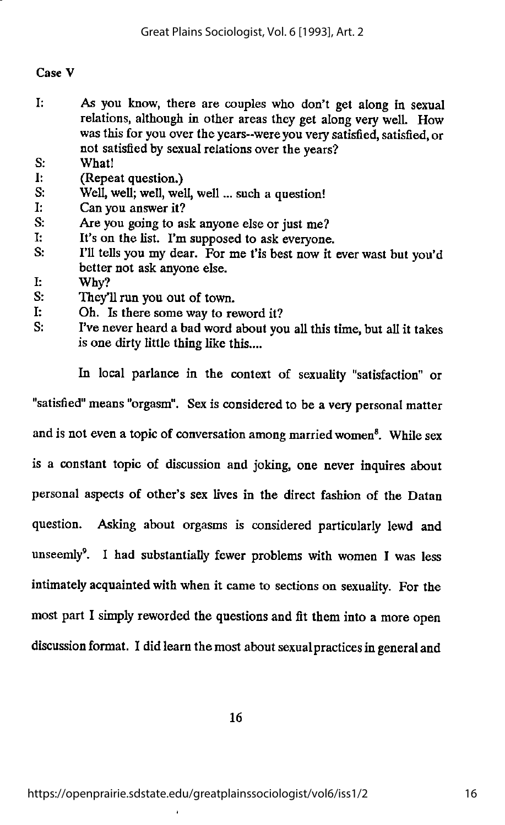## Case V

- I: As you know, there are couples who don't get along in sexual relations, although in other areas they get along very well. How was this for you over the years--were you very satisfied, satisfied, or not satisfied by sexual relations over the years?
- S; What!
- I: (Repeat question.)<br>S: Well. well: well. well
- Well, well; well, well, well ... such a question!
- I: Can you answer it?
- S: Are you going to ask anyone else or just me?
- I: It's on the list. I'm supposed to ask everyone.<br>S: I'll tells you my dear. For me t'is best now it.
- I'll tells you my dear. For me t'is best now it ever wast but you'd better not ask anyone else.
- I: Why?<br>S: They'l
- They'll run you out of town.
- I: Oh. Is there some way to reword it?
- S: I've never heard a bad word about you all this time, but all it takes is one dirty little thing like this....

In local parlance in the context of sexuality "satisfaction" or "satisfied" means "orgasm". Sex is considered to be a very personal matter and is not even a topic of conversation among married women<sup>8</sup>. While sex is a constant topic of discussion and joking, one never inquires about personal aspects of other's sex lives in the direct fashion of the Datan question. Asking about orgasms is considered particularly lewd and unseemly<sup>9</sup>. I had substantially fewer problems with women I was less intimately acquaintedwith when it came to sections on sexuality. For the most part I simply reworded the questions and fit them into a more open discussion format. I did learn the most about sexual practices in general and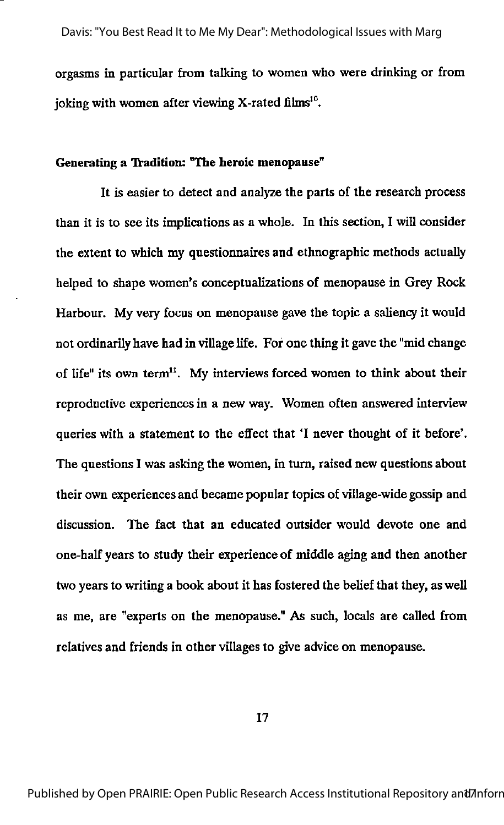orgasms in particular from talking to women who were drinking or from joking with women after viewing X-rated films<sup>10</sup>.

## Generating a Tradition: "The heroic menopause"

It is easier to detect and analyze the parts of the research process than it is to see its implications as a whole. In this section, I will consider the extent to which my questionnaires and ethnographic methods actually helped to shape women's conceptualizations of menopause in Grey Rock Harbour. My very focus on menopause gave the topic a saliency it would not ordinarily have had in village life. For one thing it gave the "mid change of life" its own term". My interviews forced women to think about their reproductive experiences in a new way. Women often answered interview queries with a statement to the effect that 'I never thought of it before'. The questions I was asking the women, in turn, raised new questions about their own experiences and became popular topics of village-wide gossip and discussion. The fact that an educated outsider would devote one and one-half years to study their experience of middle aging and then another two years to writing a book about it has fostered the belief that they, as well as me, are "experts on the menopause." As such, locals are called from relatives and friends in other villages to give advice on menopause.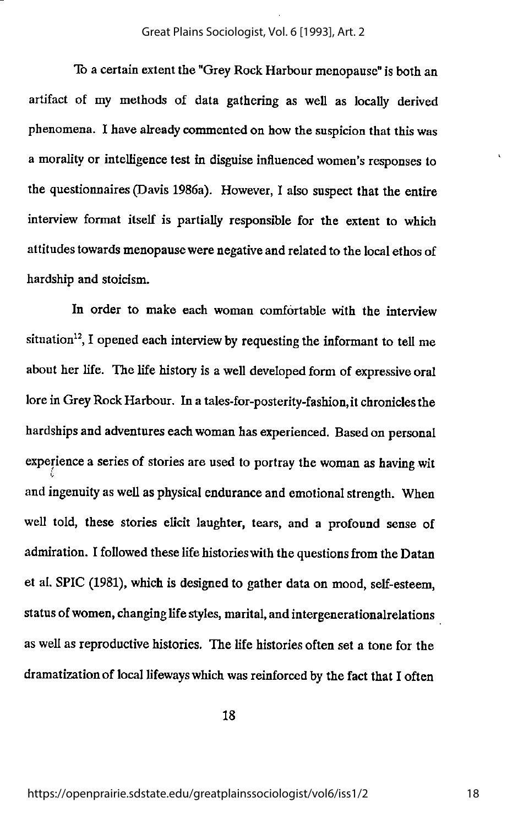#### Great Plains Sociologist, Vol. 6 [1993], Art. 2

To a certain extent the "Grey Rock Harbour menopause" is both an artifact of my methods of data gathering as well as locally derived phenomena. I have alreadycommented on how the suspicion that this was a morality or intelligence test in disguise influenced women's responses to the questionnaires (Davis 1986a). However, I also suspect that the entire interview format itself is partially responsible for the extent to which attitudes towards menopausewere negativeand related to the localethos of hardship and stoicism.

In order to make each woman comfortable with the interview situation<sup>12</sup>, I opened each interview by requesting the informant to tell me about her life. The life history is a well developed form of expressive oral lore in Grey Rock Harbour. In a tales-for-posterity-fashion, it chronicles the hardships and adventures each woman has experienced. Based on personal experience a series of stories are used to portray the woman as having wit and ingenuity as well as physical endurance and emotional strength. When well told, these stories elicit laughter, tears, and a profound sense of admiration. I followed these life histories with the questions from the Datan et al. SPIC (1981), which is designed to gather data on mood, self-esteem, status of women, changing life styles, marital, and intergenerationalrelations as well as reproductive histories. The life histories often set a tone for the dramatization of local lifeways which was reinforced by the fact that I often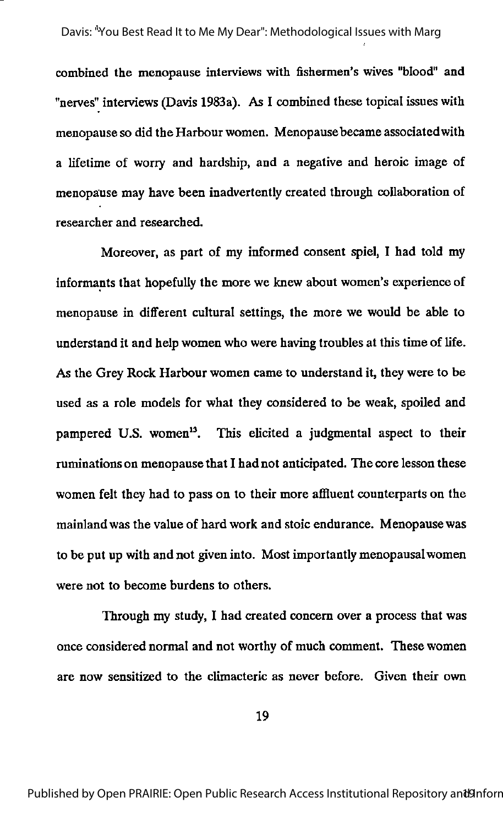combined the menopause interviews with fishermen's wives "blood" and "nerves" interviews (Davis 1983a). As I combined these topical issues with menopause so did the Harbour women. Menopause became associated with a lifetime of worry and hardship, and a negative and heroic image of menopause may have been inadvertently created through collaboration of researcher and researched.

Moreover, as part of my informed consent spiel, I had told my informants that hopefully the more we knew about women's experience of menopause in different cultural settings, the more we would be able to understand it and help women who were having troubles at this time of life. As the Grey Rock Harbour women came to understand it, they were to be used as a role models for what they considered to be weak, spoiled and pampered U.S. women<sup>13</sup>. This elicited a judgmental aspect to their ruminations on menopause that I had not anticipated. The core lesson these women felt they had to pass on to their more affluent counterparts on the mainland was the value of hard work and stoic endurance. Menopause was to be put up with and not given into. Most importantly menopausal women were not to become burdens to others.

Through my study, I had created concern over a process that was once considered normal and not worthy of much comment. These women are now sensitized to the climacteric as never before. Given their own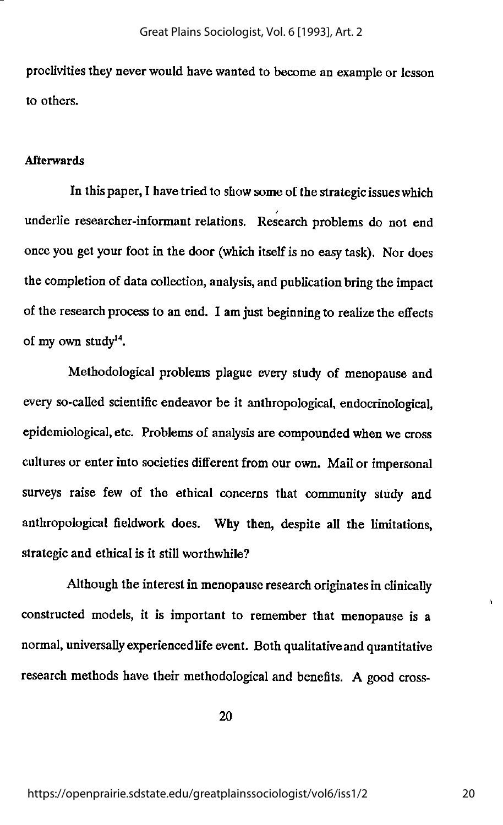proclivities they neverwould havewanted to become an example or lesson to others.

## Afterwards

In this paper, I have tried to show some of the strategic issues which t underlie researcher-informant relations. Research problems do not end onceyou get your foot in the door (which itselfis no easytask). Nor does the completion of data collection, analysis, and publication bring the impact of the research process to an end. I am just beginning to realize the effects of my own study $^{14}$ .

Methodological problems plague every study of menopause and every so-called scientific endeavor be it anthropological, endocrinological, epidemiological, etc. Problems of anafysis are compounded when we cross cultures or enter into societies different from our own. Mailor impersonal surveys raise few of the ethical concerns that community study and anthropological fieldwork does. Why then, despite all the limitations, strategic and ethical is it still worthwhile?

Although the interest in menopause research originates in clinically constructed models, it is important to remember that menopause is a normal, universally experienced life event. Both qualitative and quantitative research methods have their methodological and benefits. A good cross-

20

 $\ddot{\phantom{1}}$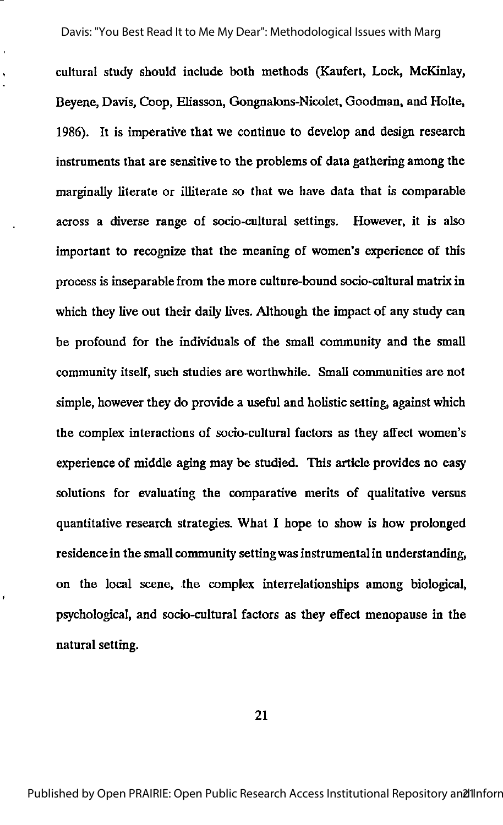cultural study should include both methods (Kaufert, Lock, McKinlay, Beyene, Davis, Coop, Eliasson, Gongnalons-Nicolet, Goodman, and Holte, 1986). It is imperative that we continue to develop and design research instruments that are sensitive to the problems of data gathering among the marginally literate or illiterate so that we have data that is comparable across a diverse range of socio-cultural settings. However, it is also important to recognize that the meaning of women's experience of this process is inseparable from the more culture-bound socio-cultural matrix in which they live out their daily lives. Although the impact of any study can be profound for the individuals of the small community and the small community itself, such studies are worthwhile. Small communities are not simple, however they do provide a useful and holistic setting, against which the complex interactions of socio-cultural factors as they affect women's experience of middle aging may be studied. This article provides no easy solutions for evaluating the comparative merits of qualitative versus quantitative research strategies. What I hope to show is how prolonged residence in the small community settingwas instrumental in understanding, on the local scene, the complex interrelationships among biological, ptychological, and socio-cultural factors as they effect menopause in the natural setting.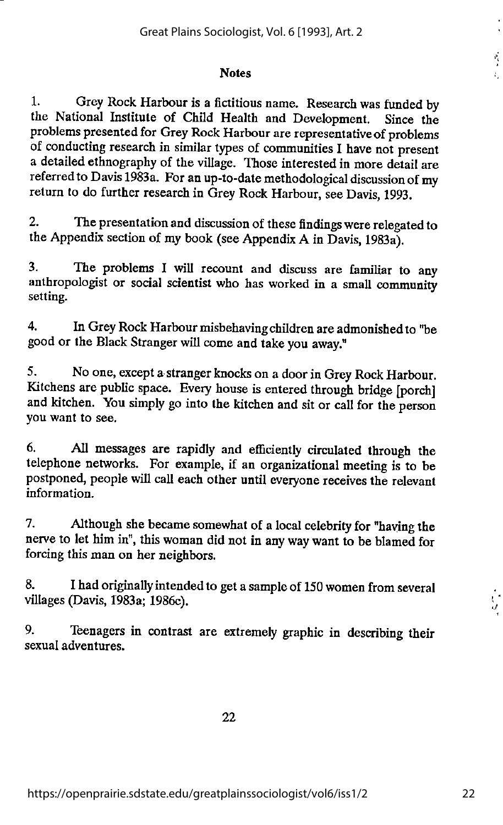#### **Notes**

1. Grey Rock Harbour is a fictitious name. Research was funded by the National Institute of Child Health and Development. Since the problems presented for Grey Rock Harbour are representativeof problems of conducting research in similar types of communities I have not present a detailed ethnography of the village. Those interested in more detail are referred to Davis 1983a. For an up-to-date methodological discussion of my return to do further research in Grey Rock Harbour, see Davis, 1993.

2. The presentation and discussion of these findings were relegated to the Appendix section of my book (see Appendix A in Davis, 1983a).

3. The problems I will recount and discuss are familiar to any anthropologist or social scientist who has worked in a small community setting.

4. In Grey Rock Harbour misbehaving children are admonished to "be good or the Black Stranger will come and takeyou away."

5. No one, except a stranger knocks ona door inGrey Rock Harbour. Kitchens are public space. Every house is entered through bridge [porch] and kitchen. You simply go into the kitchen and sitor call for the person you want to see.

6. All messages are rapidly and efficiently circulated through the telephone networks. For example, if an organizational meeting is to be postponed, people will call each other until everyone receives the relevant information.

7. Although she became somewhat of a local celebrity for "having the nerve to let himin", thiswoman did not in anyway want to be blamed for forcing this man on her neighbors.

8. I had originally intended to get a sample of 150 women from several villages (Davis, 1983a; 1986c).

9. Teenagers in contrast are extremely graphic in describing their sexual adventures.

22

 $\frac{1}{2}$ 

 $\frac{1}{2}$ Ł.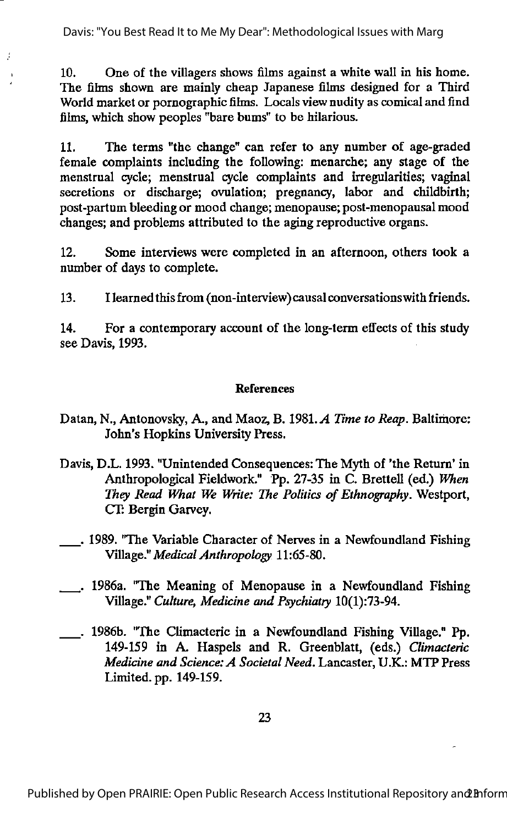Davis: "You Best Read It to Me My Dear": Methodological Issues with Marg

J.

10. One of the villagers shows films against a white wall in his home. The films shown are mainly cheap Japanese films designed for a Third World market or pornographic films. Locals view nudity as comical and find films, which show peoples "bare bums" to be hilarious.

11. The terms "the change" can refer to any number of age-graded female complaints including the following: menarche; any stage of the menstrual cycle; menstrual cycle complaints and irregularities; vaginal secretions or discharge; ovulation; pregnancy, labor and childbirth; post-partum bleeding or mood change; menopause; post-menopausal mood changes; and problems attributed to the aging reproductive organs.

12. Some interviews were completed in an afternoon, others took a number of days to complete.

13. I learnedthis from (non-interview) causal conversationswith friends.

14. For a contemporary account of the long-term effects of this study see Davis, 1993.

## References

- Datan, N., Antonovsky, A., and Maoz, B. 1981. A Time to Reap. Baltimore: John's Hopkins University Press.
- Davis, D.L. 1993. "Unintended Consequences: The Myth of 'the Return' in Anthropological Fieldwork." Pp. 27-35 in C. Brettell (ed.) When They Read What We Write: The Politics of Ethnography. Westport, CT: Bergin Garvey.
- . 1989. "The Variable Character of Nerves in a Newfoundland Fishing Village." Medical Anthropology 11:65-80.
- . 1986a. "The Meaning of Menopause in a Newfoundland Fishing Village." Culture, Medicine and Psychiatry 10(1):73-94.
- . 1986b. "The Climacteric in a Newfoundland Fishing Village." Pp. 149-159 in A. Haspels and R. Greenblatt, (eds.) Climacteric Medicine and Science: A Societal Need. Lancaster, U.K.: MTP Press Limited, pp. 149-159.